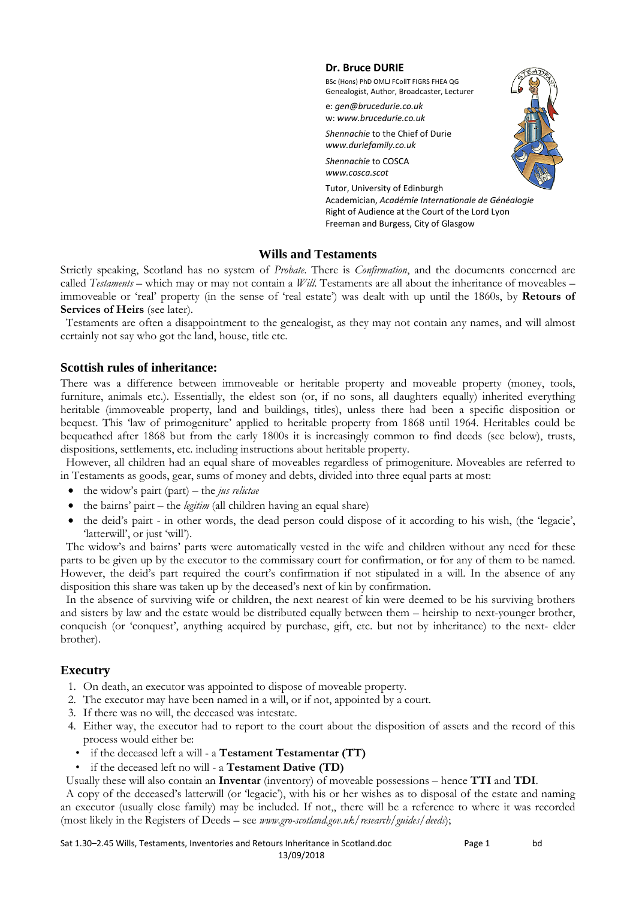#### **Dr. Bruce DURIE**

BSc (Hons) PhD OMLJ FCollT FIGRS FHEA QG Genealogist, Author, Broadcaster, Lecturer

e: *gen@brucedurie.co.uk* w: *www.brucedurie.co.uk*

*Shennachie* to the Chief of Durie *www.duriefamily.co.uk* 

*Shennachie* to COSCA *www.cosca.scot*



Tutor, University of Edinburgh Academician, *Académie Internationale de Généalogie* Right of Audience at the Court of the Lord Lyon Freeman and Burgess, City of Glasgow

### **Wills and Testaments**

Strictly speaking, Scotland has no system of *Probate*. There is *Confirmation*, and the documents concerned are called *Testaments* – which may or may not contain a *Will*. Testaments are all about the inheritance of moveables – immoveable or 'real' property (in the sense of 'real estate') was dealt with up until the 1860s, by **Retours of Services of Heirs** (see later).

Testaments are often a disappointment to the genealogist, as they may not contain any names, and will almost certainly not say who got the land, house, title etc.

### **Scottish rules of inheritance:**

There was a difference between immoveable or heritable property and moveable property (money, tools, furniture, animals etc.). Essentially, the eldest son (or, if no sons, all daughters equally) inherited everything heritable (immoveable property, land and buildings, titles), unless there had been a specific disposition or bequest. This 'law of primogeniture' applied to heritable property from 1868 until 1964. Heritables could be bequeathed after 1868 but from the early 1800s it is increasingly common to find deeds (see below), trusts, dispositions, settlements, etc. including instructions about heritable property.

However, all children had an equal share of moveables regardless of primogeniture. Moveables are referred to in Testaments as goods, gear, sums of money and debts, divided into three equal parts at most:

- the widow's pairt (part) the *jus relictae*
- the bairns' pairt the *legitim* (all children having an equal share)
- the deid's pairt in other words, the dead person could dispose of it according to his wish, (the 'legacie', 'latterwill', or just 'will').

The widow's and bairns' parts were automatically vested in the wife and children without any need for these parts to be given up by the executor to the commissary court for confirmation, or for any of them to be named. However, the deid's part required the court's confirmation if not stipulated in a will. In the absence of any disposition this share was taken up by the deceased's next of kin by confirmation.

In the absence of surviving wife or children, the next nearest of kin were deemed to be his surviving brothers and sisters by law and the estate would be distributed equally between them – heirship to next-younger brother, conqueish (or 'conquest', anything acquired by purchase, gift, etc. but not by inheritance) to the next- elder brother).

# **Executry**

- 1. On death, an executor was appointed to dispose of moveable property.
- 2. The executor may have been named in a will, or if not, appointed by a court.
- 3. If there was no will, the deceased was intestate.
- 4. Either way, the executor had to report to the court about the disposition of assets and the record of this process would either be:
	- if the deceased left a will a **Testament Testamentar (TT)**
- if the deceased left no will a **Testament Dative (TD)**

Usually these will also contain an **Inventar** (inventory) of moveable possessions – hence **TTI** and **TDI**.

A copy of the deceased's latterwill (or 'legacie'), with his or her wishes as to disposal of the estate and naming an executor (usually close family) may be included. If not,, there will be a reference to where it was recorded (most likely in the Registers of Deeds – see *www.gro-scotland.gov.uk/research/guides/deeds*);